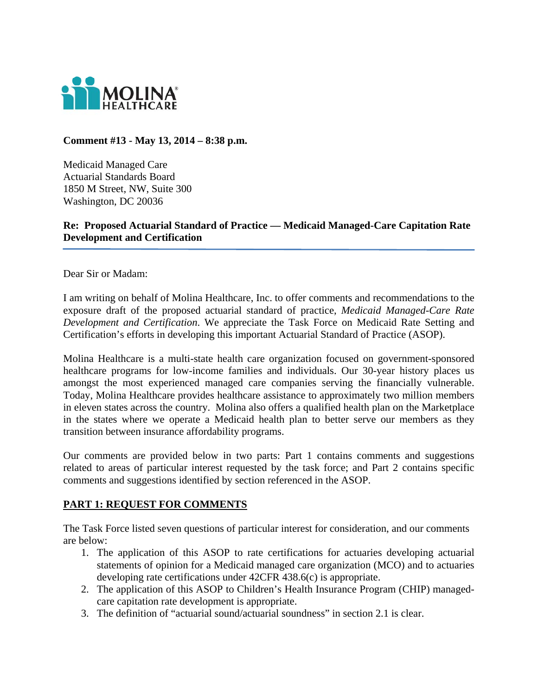

**Comment #13 - May 13, 2014 – 8:38 p.m.** 

Medicaid Managed Care Actuarial Standards Board 1850 M Street, NW, Suite 300 Washington, DC 20036

**Re: Proposed Actuarial Standard of Practice — Medicaid Managed-Care Capitation Rate Development and Certification** 

Dear Sir or Madam:

I am writing on behalf of Molina Healthcare, Inc. to offer comments and recommendations to the exposure draft of the proposed actuarial standard of practice, *Medicaid Managed-Care Rate Development and Certification*. We appreciate the Task Force on Medicaid Rate Setting and Certification's efforts in developing this important Actuarial Standard of Practice (ASOP).

Molina Healthcare is a multi-state health care organization focused on government-sponsored healthcare programs for low-income families and individuals. Our 30-year history places us amongst the most experienced managed care companies serving the financially vulnerable. Today, Molina Healthcare provides healthcare assistance to approximately two million members in eleven states across the country. Molina also offers a qualified health plan on the Marketplace in the states where we operate a Medicaid health plan to better serve our members as they transition between insurance affordability programs.

Our comments are provided below in two parts: Part 1 contains comments and suggestions related to areas of particular interest requested by the task force; and Part 2 contains specific comments and suggestions identified by section referenced in the ASOP.

## **PART 1: REQUEST FOR COMMENTS**

The Task Force listed seven questions of particular interest for consideration, and our comments are below:

- 1. The application of this ASOP to rate certifications for actuaries developing actuarial statements of opinion for a Medicaid managed care organization (MCO) and to actuaries developing rate certifications under 42CFR 438.6(c) is appropriate.
- 2. The application of this ASOP to Children's Health Insurance Program (CHIP) managedcare capitation rate development is appropriate.
- 3. The definition of "actuarial sound/actuarial soundness" in section 2.1 is clear.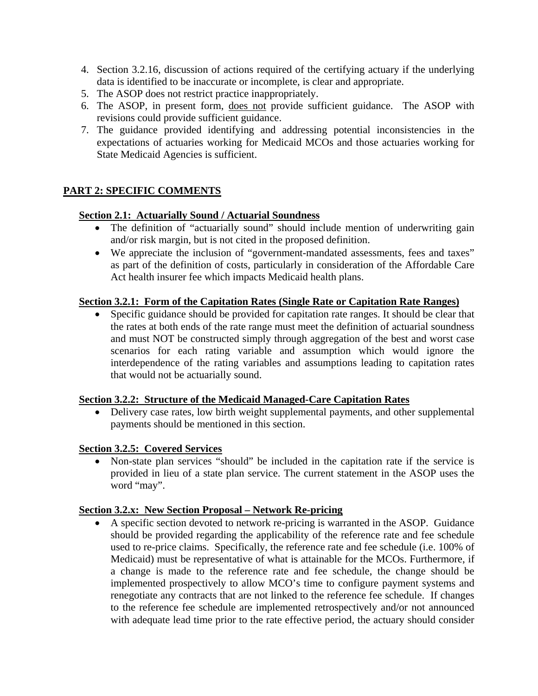- 4. Section 3.2.16, discussion of actions required of the certifying actuary if the underlying data is identified to be inaccurate or incomplete, is clear and appropriate.
- 5. The ASOP does not restrict practice inappropriately.
- 6. The ASOP, in present form, does not provide sufficient guidance. The ASOP with revisions could provide sufficient guidance.
- 7. The guidance provided identifying and addressing potential inconsistencies in the expectations of actuaries working for Medicaid MCOs and those actuaries working for State Medicaid Agencies is sufficient.

# **PART 2: SPECIFIC COMMENTS**

#### **Section 2.1: Actuarially Sound / Actuarial Soundness**

- The definition of "actuarially sound" should include mention of underwriting gain and/or risk margin, but is not cited in the proposed definition.
- We appreciate the inclusion of "government-mandated assessments, fees and taxes" as part of the definition of costs, particularly in consideration of the Affordable Care Act health insurer fee which impacts Medicaid health plans.

## **Section 3.2.1: Form of the Capitation Rates (Single Rate or Capitation Rate Ranges)**

 Specific guidance should be provided for capitation rate ranges. It should be clear that the rates at both ends of the rate range must meet the definition of actuarial soundness and must NOT be constructed simply through aggregation of the best and worst case scenarios for each rating variable and assumption which would ignore the interdependence of the rating variables and assumptions leading to capitation rates that would not be actuarially sound.

#### **Section 3.2.2: Structure of the Medicaid Managed-Care Capitation Rates**

• Delivery case rates, low birth weight supplemental payments, and other supplemental payments should be mentioned in this section.

#### **Section 3.2.5: Covered Services**

 Non-state plan services "should" be included in the capitation rate if the service is provided in lieu of a state plan service. The current statement in the ASOP uses the word "may".

## **Section 3.2.x: New Section Proposal – Network Re-pricing**

 A specific section devoted to network re-pricing is warranted in the ASOP. Guidance should be provided regarding the applicability of the reference rate and fee schedule used to re-price claims. Specifically, the reference rate and fee schedule (i.e. 100% of Medicaid) must be representative of what is attainable for the MCOs. Furthermore, if a change is made to the reference rate and fee schedule, the change should be implemented prospectively to allow MCO's time to configure payment systems and renegotiate any contracts that are not linked to the reference fee schedule. If changes to the reference fee schedule are implemented retrospectively and/or not announced with adequate lead time prior to the rate effective period, the actuary should consider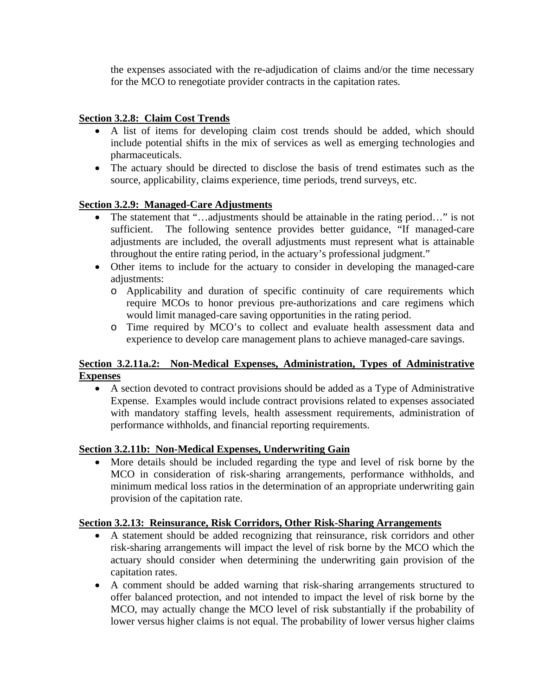the expenses associated with the re-adjudication of claims and/or the time necessary for the MCO to renegotiate provider contracts in the capitation rates.

# **Section 3.2.8: Claim Cost Trends**

- A list of items for developing claim cost trends should be added, which should include potential shifts in the mix of services as well as emerging technologies and pharmaceuticals.
- The actuary should be directed to disclose the basis of trend estimates such as the source, applicability, claims experience, time periods, trend surveys, etc.

## **Section 3.2.9: Managed-Care Adjustments**

- The statement that "...adjustments should be attainable in the rating period..." is not sufficient. The following sentence provides better guidance, "If managed-care adjustments are included, the overall adjustments must represent what is attainable throughout the entire rating period, in the actuary's professional judgment."
- Other items to include for the actuary to consider in developing the managed-care adjustments:
	- o Applicability and duration of specific continuity of care requirements which require MCOs to honor previous pre-authorizations and care regimens which would limit managed-care saving opportunities in the rating period.
	- o Time required by MCO's to collect and evaluate health assessment data and experience to develop care management plans to achieve managed-care savings.

# **Section 3.2.11a.2: Non-Medical Expenses, Administration, Types of Administrative Expenses**

 A section devoted to contract provisions should be added as a Type of Administrative Expense. Examples would include contract provisions related to expenses associated with mandatory staffing levels, health assessment requirements, administration of performance withholds, and financial reporting requirements.

## **Section 3.2.11b: Non-Medical Expenses, Underwriting Gain**

 More details should be included regarding the type and level of risk borne by the MCO in consideration of risk-sharing arrangements, performance withholds, and minimum medical loss ratios in the determination of an appropriate underwriting gain provision of the capitation rate.

## **Section 3.2.13: Reinsurance, Risk Corridors, Other Risk-Sharing Arrangements**

- A statement should be added recognizing that reinsurance, risk corridors and other risk-sharing arrangements will impact the level of risk borne by the MCO which the actuary should consider when determining the underwriting gain provision of the capitation rates.
- A comment should be added warning that risk-sharing arrangements structured to offer balanced protection, and not intended to impact the level of risk borne by the MCO, may actually change the MCO level of risk substantially if the probability of lower versus higher claims is not equal. The probability of lower versus higher claims